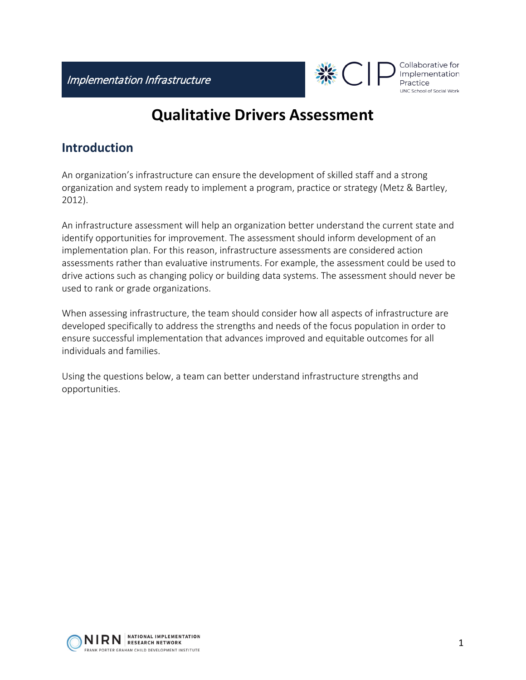

Collaborative for Implementation UNC School of Social Work

## **Qualitative Drivers Assessment**

## **Introduction**

An organization's infrastructure can ensure the development of skilled staff and a strong organization and system ready to implement a program, practice or strategy (Metz & Bartley, 2012).

An infrastructure assessment will help an organization better understand the current state and identify opportunities for improvement. The assessment should inform development of an implementation plan. For this reason, infrastructure assessments are considered action assessments rather than evaluative instruments. For example, the assessment could be used to drive actions such as changing policy or building data systems. The assessment should never be used to rank or grade organizations.

When assessing infrastructure, the team should consider how all aspects of infrastructure are developed specifically to address the strengths and needs of the focus population in order to ensure successful implementation that advances improved and equitable outcomes for all individuals and families.

Using the questions below, a team can better understand infrastructure strengths and opportunities.

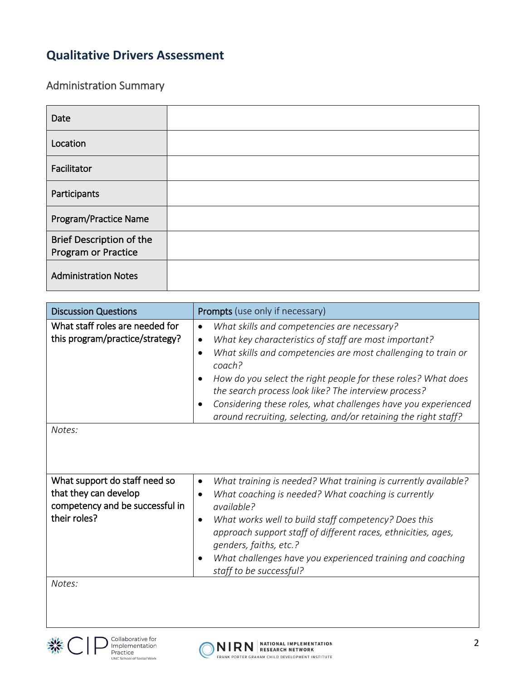## **Qualitative Drivers Assessment**

Administration Summary

| Date                                            |  |
|-------------------------------------------------|--|
| Location                                        |  |
| Facilitator                                     |  |
| Participants                                    |  |
| Program/Practice Name                           |  |
| Brief Description of the<br>Program or Practice |  |
| <b>Administration Notes</b>                     |  |

| <b>Discussion Questions</b>                                                                                                     | <b>Prompts</b> (use only if necessary)                                                                                                                                                                                                                                                                                                                                                                                                                                                                |
|---------------------------------------------------------------------------------------------------------------------------------|-------------------------------------------------------------------------------------------------------------------------------------------------------------------------------------------------------------------------------------------------------------------------------------------------------------------------------------------------------------------------------------------------------------------------------------------------------------------------------------------------------|
| What staff roles are needed for<br>this program/practice/strategy?<br>Notes:                                                    | What skills and competencies are necessary?<br>$\bullet$<br>What key characteristics of staff are most important?<br>٠<br>What skills and competencies are most challenging to train or<br>$\bullet$<br>coach?<br>How do you select the right people for these roles? What does<br>$\bullet$<br>the search process look like? The interview process?<br>Considering these roles, what challenges have you experienced<br>$\bullet$<br>around recruiting, selecting, and/or retaining the right staff? |
| What support do staff need so<br>that they can develop<br>competency and be successful in<br>their roles?<br>Notes <sup>.</sup> | What training is needed? What training is currently available?<br>$\bullet$<br>What coaching is needed? What coaching is currently<br>$\bullet$<br>available?<br>What works well to build staff competency? Does this<br>$\bullet$<br>approach support staff of different races, ethnicities, ages,<br>genders, faiths, etc.?<br>What challenges have you experienced training and coaching<br>$\bullet$<br>staff to be successful?                                                                   |

*Notes:*